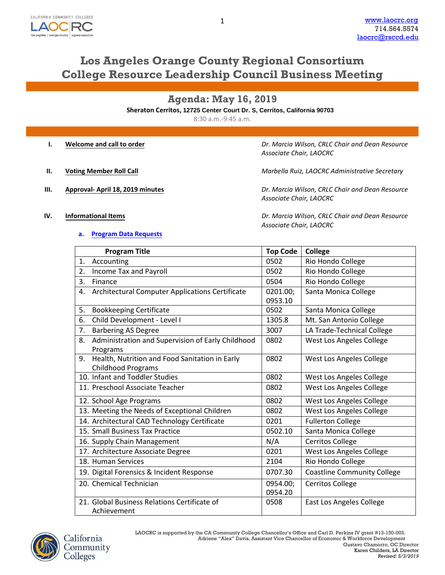

# **Los Angeles Orange County Regional Consortium College Resource Leadership Council Business Meeting**

**Agenda: May 16, 2019**

**Sheraton Cerritos, 12725 Center Court Dr. S, Cerritos, California 90703**

8:30 a.m.-9:45 a.m.

|      | Welcome and call to order       | Dr. Marcia Wilson, CRLC Chair and Dean Resource<br>Associate Chair, LAOCRC |
|------|---------------------------------|----------------------------------------------------------------------------|
| Ш.   | <b>Voting Member Roll Call</b>  | Marbella Ruiz, LAOCRC Administrative Secretary                             |
| III. | Approval-April 18, 2019 minutes | Dr. Marcia Wilson, CRLC Chair and Dean Resource<br>Associate Chair, LAOCRC |

**IV. Informational Items**

### **a. [Program Data Requests](http://www.laocrc.org/educators/program-approval/program-intents)**

*Dr. Marcia Wilson, CRLC Chair and Dean Resource Associate Chair, LAOCRC*

| <b>Program Title</b>                                    | <b>Top Code</b> | <b>College</b>                     |
|---------------------------------------------------------|-----------------|------------------------------------|
| Accounting<br>1.                                        | 0502            | Rio Hondo College                  |
| Income Tax and Payroll<br>2.                            | 0502            | Rio Hondo College                  |
| 3.<br>Finance                                           | 0504            | Rio Hondo College                  |
| Architectural Computer Applications Certificate<br>4.   | 0201.00;        | Santa Monica College               |
|                                                         | 0953.10         |                                    |
| <b>Bookkeeping Certificate</b><br>5.                    | 0502            | Santa Monica College               |
| 6.<br>Child Development - Level I                       | 1305.8          | Mt. San Antonio College            |
| <b>Barbering AS Degree</b><br>7.                        | 3007            | LA Trade-Technical College         |
| Administration and Supervision of Early Childhood<br>8. | 0802            | West Los Angeles College           |
| Programs                                                |                 |                                    |
| Health, Nutrition and Food Sanitation in Early<br>9.    | 0802            | West Los Angeles College           |
| <b>Childhood Programs</b>                               |                 |                                    |
| 10. Infant and Toddler Studies                          | 0802            | West Los Angeles College           |
| 11. Preschool Associate Teacher                         | 0802            | West Los Angeles College           |
| 12. School Age Programs                                 | 0802            | West Los Angeles College           |
| 13. Meeting the Needs of Exceptional Children           | 0802            | West Los Angeles College           |
| 14. Architectural CAD Technology Certificate            | 0201            | <b>Fullerton College</b>           |
| 15. Small Business Tax Practice                         | 0502.10         | Santa Monica College               |
| 16. Supply Chain Management                             | N/A             | <b>Cerritos College</b>            |
| 17. Architecture Associate Degree                       | 0201            | West Los Angeles College           |
| 18. Human Services                                      | 2104            | Rio Hondo College                  |
| 19. Digital Forensics & Incident Response               | 0707.30         | <b>Coastline Community College</b> |
| 20. Chemical Technician                                 | 0954.00;        | <b>Cerritos College</b>            |
|                                                         | 0954.20         |                                    |
| 21. Global Business Relations Certificate of            | 0508            | East Los Angeles College           |
| Achievement                                             |                 |                                    |

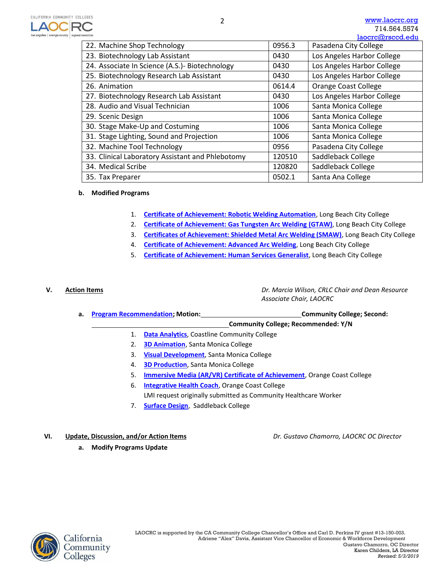

| consortium                                       |        | laocrc@rsccd.edu            |
|--------------------------------------------------|--------|-----------------------------|
| 22. Machine Shop Technology                      | 0956.3 | Pasadena City College       |
| 23. Biotechnology Lab Assistant                  | 0430   | Los Angeles Harbor College  |
| 24. Associate In Science (A.S.)- Biotechnology   | 0430   | Los Angeles Harbor College  |
| 25. Biotechnology Research Lab Assistant         | 0430   | Los Angeles Harbor College  |
| 26. Animation                                    | 0614.4 | <b>Orange Coast College</b> |
| 27. Biotechnology Research Lab Assistant         | 0430   | Los Angeles Harbor College  |
| 28. Audio and Visual Technician                  | 1006   | Santa Monica College        |
| 29. Scenic Design                                | 1006   | Santa Monica College        |
| 30. Stage Make-Up and Costuming                  | 1006   | Santa Monica College        |
| 31. Stage Lighting, Sound and Projection         | 1006   | Santa Monica College        |
| 32. Machine Tool Technology                      | 0956   | Pasadena City College       |
| 33. Clinical Laboratory Assistant and Phlebotomy | 120510 | Saddleback College          |
| 34. Medical Scribe                               | 120820 | Saddleback College          |
| 35. Tax Preparer                                 | 0502.1 | Santa Ana College           |

## **b. Modified Programs**

- 1. **[Certificate of Achievement: Robotic Welding Automation](https://www.regionalcte.org/browse/41pVZ)**, Long Beach City College
- 2. **[Certificate of Achievement: Gas Tungsten Arc Welding](https://www.regionalcte.org/browse/4xzlK) (GTAW)**, Long Beach City College
- 3. **[Certificates of Achievement: Shielded Metal Arc Welding \(SMAW\)](https://www.regionalcte.org/browse/KkDLZ)**, Long Beach City College
- 4. **[Certificate of Achievement: Advanced Arc Welding](https://www.regionalcte.org/browse/ZYWk3)**, Long Beach City College
- 5. **[Certificate of Achievement: Human Services Generalist](https://www.regionalcte.org/browse/3alV4)**, Long Beach City College

**V. Action Items** *Dr. Marcia Wilson, CRLC Chair and Dean Resource Associate Chair, LAOCRC*

| a. Program Recommendation: Motion: | <b>Community College; Second:</b>   |
|------------------------------------|-------------------------------------|
|                                    | Community College; Recommended: Y/N |

- 1. **[Data Analytics](https://www.regionalcte.org/browse/ZYG83)**[, C](https://www.regionalcte.org/browse/ZYG83)oastline Community College
- 2. **[3D Animation](https://www.regionalcte.org/browse/ZrDA3)**[, S](https://www.regionalcte.org/browse/ZrDA3)anta Monica College
- 3. **[Visual Development](https://www.regionalcte.org/browse/K7vb3)**, Santa Monica College
- 4. **[3D Production](https://www.regionalcte.org/browse/4DNgK)**[, S](https://www.regionalcte.org/browse/4DNgK)anta Monica College
- 5. **[Immersive Media \(AR/VR\) Certificate of Achievement](https://www.regionalcte.org/browse/Zmr74)**[, O](https://www.regionalcte.org/browse/Zmr74)range Coast College
- 6. **[Integrative Health Coach](https://www.regionalcte.org/browse/Koo5K)**[, O](https://www.regionalcte.org/browse/Koo5K)range Coast College LMI request originally submitted as Community Healthcare Worker
- 7. **[Surface Design](https://www.regionalcte.org/browse/38wO4)**[,](https://www.regionalcte.org/browse/38wO4) Saddleback College
- **VI. Update, Discussion, and/or Action Items** *Dr. Gustavo Chamorro, LAOCRC OC Director*
	- **a. Modify Programs Update**